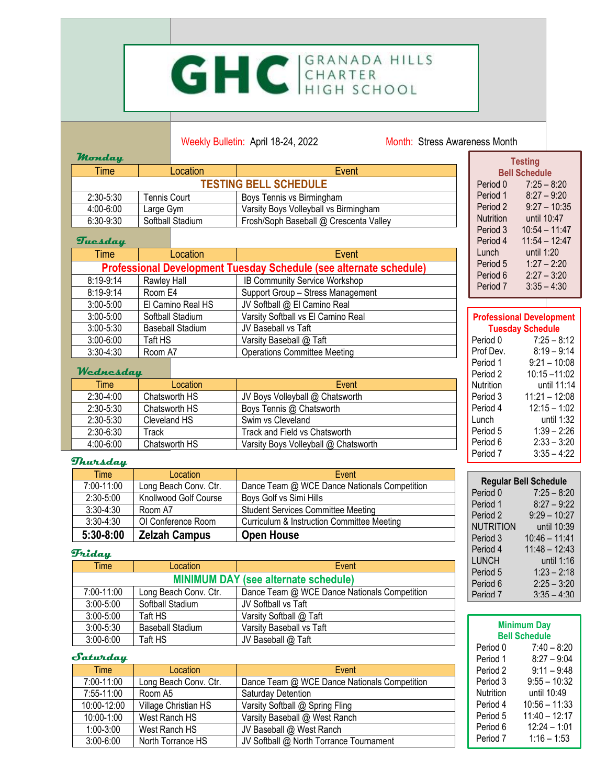# GHC GRANADA HILLS

### Weekly Bulletin: April 18-24, 2022 Month: Stress Awareness Month

**The Contract** 

| rnonaay                                                                                         |                           |                                        | <b>Testing</b>                                             |
|-------------------------------------------------------------------------------------------------|---------------------------|----------------------------------------|------------------------------------------------------------|
| Time                                                                                            | Location                  | Event                                  | <b>Bell Schedule</b>                                       |
|                                                                                                 | Period 0<br>$7:25 - 8:20$ |                                        |                                                            |
| 2:30-5:30                                                                                       | <b>Tennis Court</b>       | Boys Tennis vs Birmingham              | $8:27 - 9:20$<br>Period 1                                  |
| 4:00-6:00                                                                                       | Large Gym                 | Varsity Boys Volleyball vs Birmingham  | Period 2<br>$9:27 - 10:35$                                 |
| 6:30-9:30                                                                                       | Softball Stadium          | Frosh/Soph Baseball @ Crescenta Valley | until 10:47<br><b>Nutrition</b>                            |
| Tuesday                                                                                         |                           |                                        | $10:54 - 11:47$<br>Period 3<br>$11:54 - 12:47$<br>Period 4 |
| Time                                                                                            | Location                  | Event                                  | until 1:20<br>Lunch                                        |
|                                                                                                 |                           |                                        | $1:27 - 2:20$<br>Period 5                                  |
| Professional Development Tuesday Schedule (see alternate schedule)<br>$2:27 - 3:20$<br>Period 6 |                           |                                        |                                                            |
| 8:19-9:14                                                                                       | Rawley Hall               | IB Community Service Workshop          | Period 7<br>$3:35 - 4:30$                                  |
| $8:19-9:14$                                                                                     | Room E4                   | Support Group - Stress Management      |                                                            |
| $3:00 - 5:00$                                                                                   | El Camino Real HS         | JV Softball @ El Camino Real           |                                                            |
| $3:00 - 5:00$                                                                                   | Softball Stadium          | Varsity Softball vs El Camino Real     | <b>Professional Development</b>                            |
| $3:00 - 5:30$                                                                                   | <b>Baseball Stadium</b>   | JV Baseball vs Taft                    | <b>Tuesday Schedule</b>                                    |
| $3:00 - 6:00$                                                                                   | Taft HS                   | Varsity Baseball @ Taft                | Period 0<br>$7:25 - 8:12$                                  |
| $3:30 - 4:30$                                                                                   | Room A7                   | <b>Operations Committee Meeting</b>    | $8:19 - 9:14$<br>Prof Dev.                                 |
|                                                                                                 |                           |                                        | $9:21 - 10:08$<br>Period 1                                 |
| Wednesday                                                                                       |                           |                                        | $10:15 - 11:02$<br>Period 2                                |
| <b>Time</b>                                                                                     | Location                  | Event                                  | until 11:14<br>Nutrition                                   |
| 2:30-4:00                                                                                       | Chatsworth HS             | JV Boys Volleyball @ Chatsworth        | $11:21 - 12:08$<br>Period 3                                |
| 2:30-5:30                                                                                       | Chatsworth HS             | Boys Tennis @ Chatsworth               | $12:15 - 1:02$<br>Period 4                                 |
| 2:30-5:30                                                                                       | Cleveland HS              | Swim vs Cleveland                      | until 1:32<br>Lunch                                        |
| $2.30 - 6.30$                                                                                   | Track                     | Track and Field vs Chatsworth          | $1:39 - 2:26$<br>Period 5                                  |

#### **Thursday**

**Monday**

| Time          | Location              | Event                                        |
|---------------|-----------------------|----------------------------------------------|
| 7:00-11:00    | Long Beach Conv. Ctr. | Dance Team @ WCE Dance Nationals Competition |
| $2:30 - 5:00$ | Knollwood Golf Course | Boys Golf vs Simi Hills                      |
| $3:30 - 4:30$ | Room A7               | <b>Student Services Committee Meeting</b>    |
| $3:30-4:30$   | OI Conference Room    | Curriculum & Instruction Committee Meeting   |
| $5:30-8:00$   | <b>Zelzah Campus</b>  | <b>Open House</b>                            |

2:30-6:30 | Track Track Track and Field vs Chatsworth 4:00-6:00 Chatsworth HS Varsity Boys Volleyball @ Chatsworth

#### **Friday**

| Time                                        | Location                | Event                                        |  |  |
|---------------------------------------------|-------------------------|----------------------------------------------|--|--|
| <b>MINIMUM DAY (see alternate schedule)</b> |                         |                                              |  |  |
| 7:00-11:00                                  | Long Beach Conv. Ctr.   | Dance Team @ WCE Dance Nationals Competition |  |  |
| $3:00 - 5:00$                               | Softball Stadium        | JV Softball vs Taft                          |  |  |
| $3:00 - 5:00$                               | Taft HS                 | Varsity Softball @ Taft                      |  |  |
| $3:00 - 5:30$                               | <b>Baseball Stadium</b> | Varsity Baseball vs Taft                     |  |  |
| $3:00 - 6:00$                               | Taft HS                 | JV Baseball @ Taft                           |  |  |

#### **Saturday**

| <b>Time</b>   | Location              | Event                                        |
|---------------|-----------------------|----------------------------------------------|
| 7:00-11:00    | Long Beach Conv. Ctr. | Dance Team @ WCE Dance Nationals Competition |
| 7:55-11:00    | Room A5               | Saturday Detention                           |
| 10:00-12:00   | Village Christian HS  | Varsity Softball @ Spring Fling              |
| 10:00-1:00    | West Ranch HS         | Varsity Baseball @ West Ranch                |
| $1:00-3:00$   | West Ranch HS         | JV Baseball @ West Ranch                     |
| $3:00 - 6:00$ | North Torrance HS     | JV Softball @ North Torrance Tournament      |

| <b>Regular Bell Schedule</b> |                 |  |
|------------------------------|-----------------|--|
| Period 0                     | $7:25 - 8:20$   |  |
| Period 1                     | $8:27 - 9:22$   |  |
| Period 2                     | $9:29 - 10:27$  |  |
| Nutrition                    | until 10:39     |  |
| Period 3                     | $10:46 - 11:41$ |  |
| Period 4                     | $11:48 - 12:43$ |  |
| LUNCH                        | until 1:16      |  |
| Period 5                     | $1:23 - 2:18$   |  |
| Period 6                     | $2:25 - 3:20$   |  |
| Period 7                     | $3.35 - 4.30$   |  |

Period 5 1:39 – 2:26<br>
Period 6 2:33 – 3:20

Period 7 3:35 – 4:22

 $2:33 - 3:20$ 

| <b>Minimum Day</b><br><b>Bell Schedule</b> |                 |  |  |  |
|--------------------------------------------|-----------------|--|--|--|
| Period 0                                   | $7:40 - 8:20$   |  |  |  |
| Period 1                                   | $8:27 - 9:04$   |  |  |  |
| Period 2                                   | $9:11 - 9:48$   |  |  |  |
| Period 3                                   | $9:55 - 10:32$  |  |  |  |
| Nutrition                                  | until 10:49     |  |  |  |
| Period 4                                   | $10:56 - 11:33$ |  |  |  |
| Period 5                                   | $11:40 - 12:17$ |  |  |  |
| Period 6                                   | $12:24 - 1:01$  |  |  |  |
| Period 7                                   | $1:16 - 1:53$   |  |  |  |